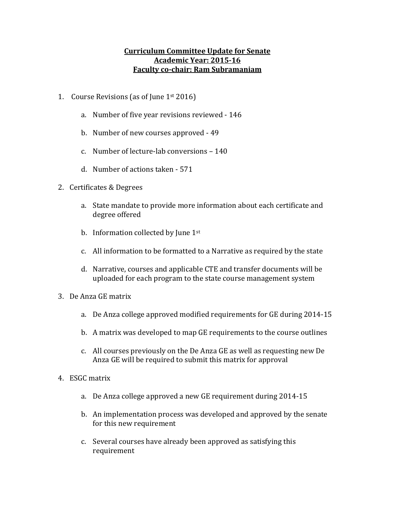## **Curriculum Committee Update for Senate Academic Year: 2015-16 Faculty co-chair: Ram Subramaniam**

- 1. Course Revisions (as of June  $1^{st}$  2016)
	- a. Number of five year revisions reviewed 146
	- b. Number of new courses approved 49
	- c. Number of lecture-lab conversions  $-140$
	- d. Number of actions taken 571
- 2. Certificates & Degrees
	- a. State mandate to provide more information about each certificate and degree offered
	- b. Information collected by June  $1<sup>st</sup>$
	- c. All information to be formatted to a Narrative as required by the state
	- d. Narrative, courses and applicable CTE and transfer documents will be uploaded for each program to the state course management system
- 3. De Anza GE matrix
	- a. De Anza college approved modified requirements for GE during 2014-15
	- b. A matrix was developed to map GE requirements to the course outlines
	- c. All courses previously on the De Anza GE as well as requesting new De Anza GE will be required to submit this matrix for approval
- 4. ESGC matrix
	- a. De Anza college approved a new GE requirement during 2014-15
	- b. An implementation process was developed and approved by the senate for this new requirement
	- c. Several courses have already been approved as satisfying this requirement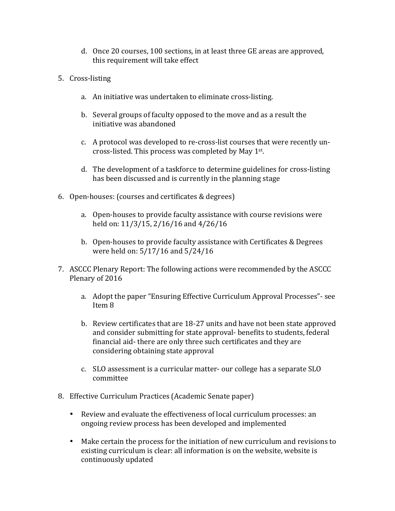- d. Once 20 courses, 100 sections, in at least three GE areas are approved, this requirement will take effect
- 5. Cross-listing
	- a. An initiative was undertaken to eliminate cross-listing.
	- b. Several groups of faculty opposed to the move and as a result the initiative was abandoned
	- c. A protocol was developed to re-cross-list courses that were recently uncross-listed. This process was completed by May  $1<sup>st</sup>$ .
	- d. The development of a taskforce to determine guidelines for cross-listing has been discussed and is currently in the planning stage
- 6. Open-houses: (courses and certificates & degrees)
	- a. Open-houses to provide faculty assistance with course revisions were held on: 11/3/15, 2/16/16 and 4/26/16
	- b. Open-houses to provide faculty assistance with Certificates & Degrees were held on: 5/17/16 and 5/24/16
- 7. ASCCC Plenary Report: The following actions were recommended by the ASCCC Plenary of 2016
	- a. Adopt the paper "Ensuring Effective Curriculum Approval Processes"- see Item 8
	- b. Review certificates that are 18-27 units and have not been state approved and consider submitting for state approval- benefits to students, federal financial aid- there are only three such certificates and they are considering obtaining state approval
	- c. SLO assessment is a curricular matter- our college has a separate SLO committee
- 8. Effective Curriculum Practices (Academic Senate paper)
	- Review and evaluate the effectiveness of local curriculum processes: an ongoing review process has been developed and implemented
	- Make certain the process for the initiation of new curriculum and revisions to existing curriculum is clear: all information is on the website, website is continuously updated